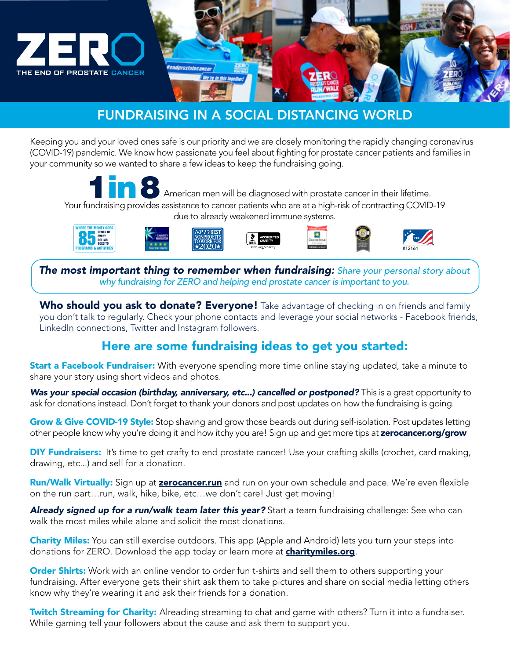

# FUNDRAISING IN A SOCIAL DISTANCING WORLD

Keeping you and your loved ones safe is our priority and we are closely monitoring the rapidly changing coronavirus (COVID-19) pandemic. We know how passionate you feel about fighting for prostate cancer patients and families in your community so we wanted to share a few ideas to keep the fundraising going.



American men will be diagnosed with prostate cancer in their lifetime. Your fundraising provides assistance to cancer patients who are at a high-risk of contracting COVID-19 due to already weakened immune systems.



*The most important thing to remember when fundraising: Share your personal story about why fundraising for ZERO and helping end prostate cancer is important to you.*

Who should you ask to donate? Everyone! Take advantage of checking in on friends and family you don't talk to regularly. Check your phone contacts and leverage your social networks - Facebook friends, LinkedIn connections, Twitter and Instagram followers.

## Here are some fundraising ideas to get you started:

**Start a Facebook Fundraiser:** With everyone spending more time online staying updated, take a minute to share your story using short videos and photos.

**Was your special occasion (birthday, anniversary, etc...) cancelled or postponed?** This is a great opportunity to ask for donations instead. Don't forget to thank your donors and post updates on how the fundraising is going.

Grow & Give COVID-19 Style: Stop shaving and grow those beards out during self-isolation. Post updates letting other people know why you're doing it and how itchy you are! Sign up and get more tips at **[zerocancer.org/grow](http://zerocancer.org/grow)** 

**DIY Fundraisers:** It's time to get crafty to end prostate cancer! Use your crafting skills (crochet, card making, drawing, etc...) and sell for a donation.

Run/Walk Virtually: Sign up at **[zerocancer.run](http://zerocancer.run)** and run on your own schedule and pace. We're even flexible on the run part…run, walk, hike, bike, etc…we don't care! Just get moving!

*Already signed up for a run/walk team later this year?* Start a team fundraising challenge: See who can walk the most miles while alone and solicit the most donations.

Charity Miles: You can still exercise outdoors. This app (Apple and Android) lets you turn your steps into donations for ZERO. Download the app today or learn more at **[charitymiles.org](http://charitymiles.org)**.

**Order Shirts:** Work with an online vendor to order fun t-shirts and sell them to others supporting your fundraising. After everyone gets their shirt ask them to take pictures and share on social media letting others know why they're wearing it and ask their friends for a donation.

**Twitch Streaming for Charity:** Alreading streaming to chat and game with others? Turn it into a fundraiser. While gaming tell your followers about the cause and ask them to support you.